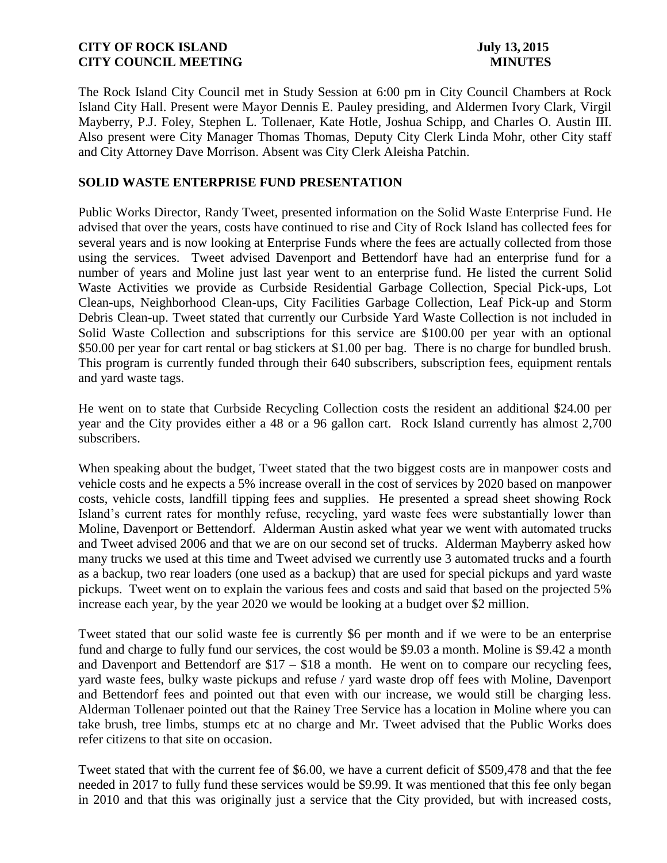The Rock Island City Council met in Study Session at 6:00 pm in City Council Chambers at Rock Island City Hall. Present were Mayor Dennis E. Pauley presiding, and Aldermen Ivory Clark, Virgil Mayberry, P.J. Foley, Stephen L. Tollenaer, Kate Hotle, Joshua Schipp, and Charles O. Austin III. Also present were City Manager Thomas Thomas, Deputy City Clerk Linda Mohr, other City staff and City Attorney Dave Morrison. Absent was City Clerk Aleisha Patchin.

# **SOLID WASTE ENTERPRISE FUND PRESENTATION**

Public Works Director, Randy Tweet, presented information on the Solid Waste Enterprise Fund. He advised that over the years, costs have continued to rise and City of Rock Island has collected fees for several years and is now looking at Enterprise Funds where the fees are actually collected from those using the services. Tweet advised Davenport and Bettendorf have had an enterprise fund for a number of years and Moline just last year went to an enterprise fund. He listed the current Solid Waste Activities we provide as Curbside Residential Garbage Collection, Special Pick-ups, Lot Clean-ups, Neighborhood Clean-ups, City Facilities Garbage Collection, Leaf Pick-up and Storm Debris Clean-up. Tweet stated that currently our Curbside Yard Waste Collection is not included in Solid Waste Collection and subscriptions for this service are \$100.00 per year with an optional \$50.00 per year for cart rental or bag stickers at \$1.00 per bag. There is no charge for bundled brush. This program is currently funded through their 640 subscribers, subscription fees, equipment rentals and yard waste tags.

He went on to state that Curbside Recycling Collection costs the resident an additional \$24.00 per year and the City provides either a 48 or a 96 gallon cart. Rock Island currently has almost 2,700 subscribers.

When speaking about the budget, Tweet stated that the two biggest costs are in manpower costs and vehicle costs and he expects a 5% increase overall in the cost of services by 2020 based on manpower costs, vehicle costs, landfill tipping fees and supplies. He presented a spread sheet showing Rock Island's current rates for monthly refuse, recycling, yard waste fees were substantially lower than Moline, Davenport or Bettendorf. Alderman Austin asked what year we went with automated trucks and Tweet advised 2006 and that we are on our second set of trucks. Alderman Mayberry asked how many trucks we used at this time and Tweet advised we currently use 3 automated trucks and a fourth as a backup, two rear loaders (one used as a backup) that are used for special pickups and yard waste pickups. Tweet went on to explain the various fees and costs and said that based on the projected 5% increase each year, by the year 2020 we would be looking at a budget over \$2 million.

Tweet stated that our solid waste fee is currently \$6 per month and if we were to be an enterprise fund and charge to fully fund our services, the cost would be \$9.03 a month. Moline is \$9.42 a month and Davenport and Bettendorf are \$17 – \$18 a month. He went on to compare our recycling fees, yard waste fees, bulky waste pickups and refuse / yard waste drop off fees with Moline, Davenport and Bettendorf fees and pointed out that even with our increase, we would still be charging less. Alderman Tollenaer pointed out that the Rainey Tree Service has a location in Moline where you can take brush, tree limbs, stumps etc at no charge and Mr. Tweet advised that the Public Works does refer citizens to that site on occasion.

Tweet stated that with the current fee of \$6.00, we have a current deficit of \$509,478 and that the fee needed in 2017 to fully fund these services would be \$9.99. It was mentioned that this fee only began in 2010 and that this was originally just a service that the City provided, but with increased costs,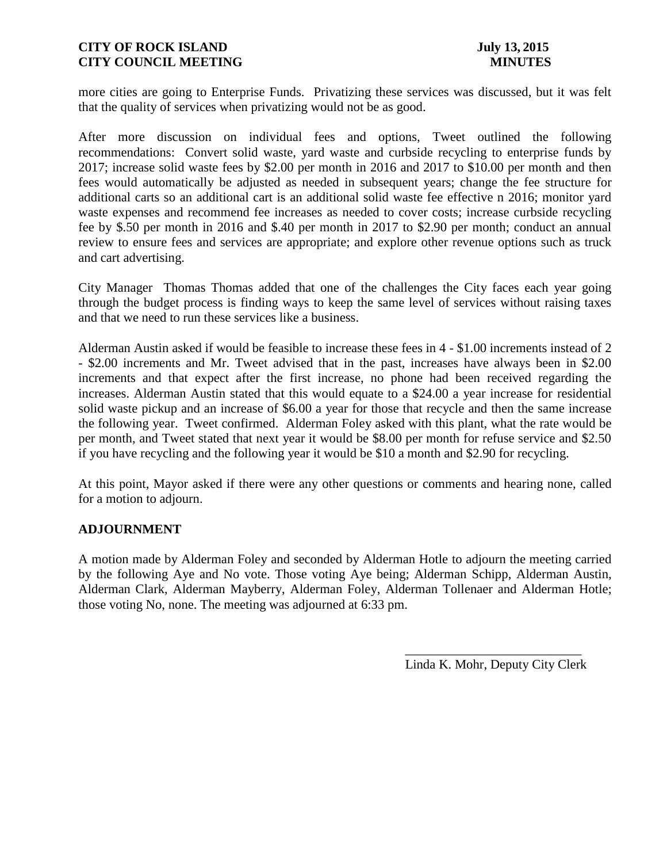more cities are going to Enterprise Funds. Privatizing these services was discussed, but it was felt that the quality of services when privatizing would not be as good.

After more discussion on individual fees and options, Tweet outlined the following recommendations: Convert solid waste, yard waste and curbside recycling to enterprise funds by 2017; increase solid waste fees by \$2.00 per month in 2016 and 2017 to \$10.00 per month and then fees would automatically be adjusted as needed in subsequent years; change the fee structure for additional carts so an additional cart is an additional solid waste fee effective n 2016; monitor yard waste expenses and recommend fee increases as needed to cover costs; increase curbside recycling fee by \$.50 per month in 2016 and \$.40 per month in 2017 to \$2.90 per month; conduct an annual review to ensure fees and services are appropriate; and explore other revenue options such as truck and cart advertising.

City Manager Thomas Thomas added that one of the challenges the City faces each year going through the budget process is finding ways to keep the same level of services without raising taxes and that we need to run these services like a business.

Alderman Austin asked if would be feasible to increase these fees in 4 - \$1.00 increments instead of 2 - \$2.00 increments and Mr. Tweet advised that in the past, increases have always been in \$2.00 increments and that expect after the first increase, no phone had been received regarding the increases. Alderman Austin stated that this would equate to a \$24.00 a year increase for residential solid waste pickup and an increase of \$6.00 a year for those that recycle and then the same increase the following year. Tweet confirmed. Alderman Foley asked with this plant, what the rate would be per month, and Tweet stated that next year it would be \$8.00 per month for refuse service and \$2.50 if you have recycling and the following year it would be \$10 a month and \$2.90 for recycling.

At this point, Mayor asked if there were any other questions or comments and hearing none, called for a motion to adjourn.

# **ADJOURNMENT**

A motion made by Alderman Foley and seconded by Alderman Hotle to adjourn the meeting carried by the following Aye and No vote. Those voting Aye being; Alderman Schipp, Alderman Austin, Alderman Clark, Alderman Mayberry, Alderman Foley, Alderman Tollenaer and Alderman Hotle; those voting No, none. The meeting was adjourned at 6:33 pm.

Linda K. Mohr, Deputy City Clerk

 $\frac{1}{2}$  ,  $\frac{1}{2}$  ,  $\frac{1}{2}$  ,  $\frac{1}{2}$  ,  $\frac{1}{2}$  ,  $\frac{1}{2}$  ,  $\frac{1}{2}$  ,  $\frac{1}{2}$  ,  $\frac{1}{2}$  ,  $\frac{1}{2}$  ,  $\frac{1}{2}$  ,  $\frac{1}{2}$  ,  $\frac{1}{2}$  ,  $\frac{1}{2}$  ,  $\frac{1}{2}$  ,  $\frac{1}{2}$  ,  $\frac{1}{2}$  ,  $\frac{1}{2}$  ,  $\frac{1$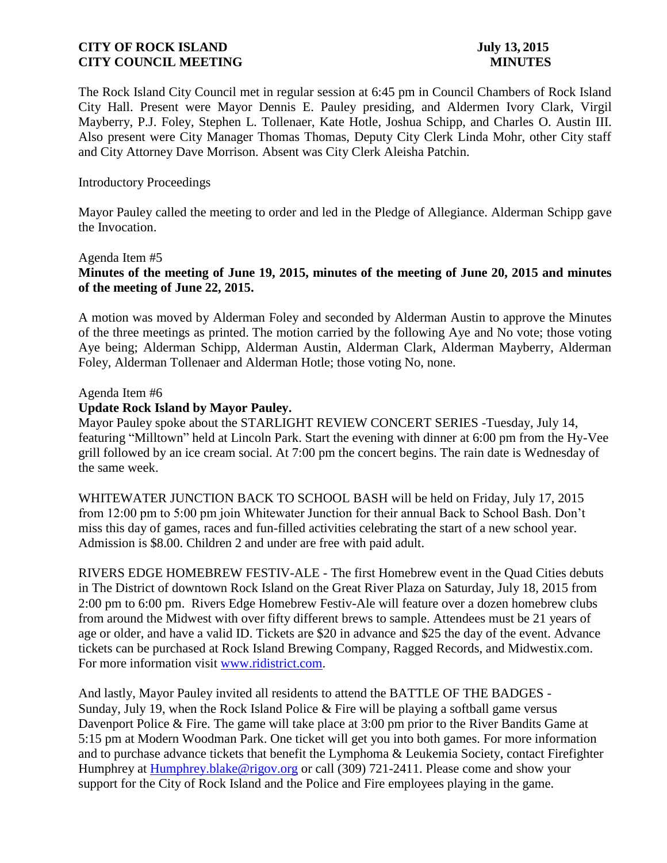The Rock Island City Council met in regular session at 6:45 pm in Council Chambers of Rock Island City Hall. Present were Mayor Dennis E. Pauley presiding, and Aldermen Ivory Clark, Virgil Mayberry, P.J. Foley, Stephen L. Tollenaer, Kate Hotle, Joshua Schipp, and Charles O. Austin III. Also present were City Manager Thomas Thomas, Deputy City Clerk Linda Mohr, other City staff and City Attorney Dave Morrison. Absent was City Clerk Aleisha Patchin.

## Introductory Proceedings

Mayor Pauley called the meeting to order and led in the Pledge of Allegiance. Alderman Schipp gave the Invocation.

## Agenda Item #5

# **Minutes of the meeting of June 19, 2015, minutes of the meeting of June 20, 2015 and minutes of the meeting of June 22, 2015.**

A motion was moved by Alderman Foley and seconded by Alderman Austin to approve the Minutes of the three meetings as printed. The motion carried by the following Aye and No vote; those voting Aye being; Alderman Schipp, Alderman Austin, Alderman Clark, Alderman Mayberry, Alderman Foley, Alderman Tollenaer and Alderman Hotle; those voting No, none.

## Agenda Item #6

## **Update Rock Island by Mayor Pauley.**

Mayor Pauley spoke about the STARLIGHT REVIEW CONCERT SERIES -Tuesday, July 14, featuring "Milltown" held at Lincoln Park. Start the evening with dinner at 6:00 pm from the Hy-Vee grill followed by an ice cream social. At 7:00 pm the concert begins. The rain date is Wednesday of the same week.

WHITEWATER JUNCTION BACK TO SCHOOL BASH will be held on Friday, July 17, 2015 from 12:00 pm to 5:00 pm join Whitewater Junction for their annual Back to School Bash. Don't miss this day of games, races and fun-filled activities celebrating the start of a new school year. Admission is \$8.00. Children 2 and under are free with paid adult.

RIVERS EDGE HOMEBREW FESTIV-ALE - The first Homebrew event in the Quad Cities debuts in The District of downtown Rock Island on the Great River Plaza on Saturday, July 18, 2015 from 2:00 pm to 6:00 pm. Rivers Edge Homebrew Festiv-Ale will feature over a dozen homebrew clubs from around the Midwest with over fifty different brews to sample. Attendees must be 21 years of age or older, and have a valid ID. Tickets are \$20 in advance and \$25 the day of the event. Advance tickets can be purchased at Rock Island Brewing Company, Ragged Records, and Midwestix.com. For more information visit [www.ridistrict.com.](http://www.ridistrict.com/)

And lastly, Mayor Pauley invited all residents to attend the BATTLE OF THE BADGES - Sunday, July 19, when the Rock Island Police  $\&$  Fire will be playing a softball game versus Davenport Police & Fire. The game will take place at 3:00 pm prior to the River Bandits Game at 5:15 pm at Modern Woodman Park. One ticket will get you into both games. For more information and to purchase advance tickets that benefit the Lymphoma & Leukemia Society, contact Firefighter Humphrey at [Humphrey.blake@rigov.org](mailto:Humphrey.blake@rigov.org) or call (309) 721-2411. Please come and show your support for the City of Rock Island and the Police and Fire employees playing in the game.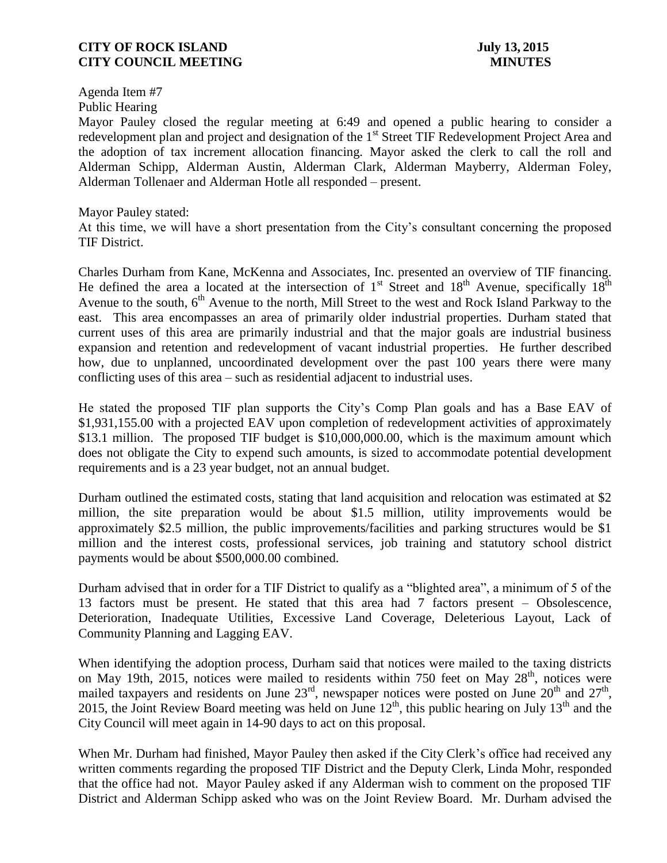Agenda Item #7 Public Hearing

Mayor Pauley closed the regular meeting at 6:49 and opened a public hearing to consider a redevelopment plan and project and designation of the 1<sup>st</sup> Street TIF Redevelopment Project Area and the adoption of tax increment allocation financing. Mayor asked the clerk to call the roll and Alderman Schipp, Alderman Austin, Alderman Clark, Alderman Mayberry, Alderman Foley, Alderman Tollenaer and Alderman Hotle all responded – present.

Mayor Pauley stated:

At this time, we will have a short presentation from the City's consultant concerning the proposed TIF District.

Charles Durham from Kane, McKenna and Associates, Inc. presented an overview of TIF financing. He defined the area a located at the intersection of  $1<sup>st</sup>$  Street and  $18<sup>th</sup>$  Avenue, specifically  $18<sup>th</sup>$ Avenue to the south,  $6<sup>th</sup>$  Avenue to the north, Mill Street to the west and Rock Island Parkway to the east. This area encompasses an area of primarily older industrial properties. Durham stated that current uses of this area are primarily industrial and that the major goals are industrial business expansion and retention and redevelopment of vacant industrial properties. He further described how, due to unplanned, uncoordinated development over the past 100 years there were many conflicting uses of this area – such as residential adjacent to industrial uses.

He stated the proposed TIF plan supports the City's Comp Plan goals and has a Base EAV of \$1,931,155.00 with a projected EAV upon completion of redevelopment activities of approximately \$13.1 million. The proposed TIF budget is \$10,000,000.00, which is the maximum amount which does not obligate the City to expend such amounts, is sized to accommodate potential development requirements and is a 23 year budget, not an annual budget.

Durham outlined the estimated costs, stating that land acquisition and relocation was estimated at \$2 million, the site preparation would be about \$1.5 million, utility improvements would be approximately \$2.5 million, the public improvements/facilities and parking structures would be \$1 million and the interest costs, professional services, job training and statutory school district payments would be about \$500,000.00 combined.

Durham advised that in order for a TIF District to qualify as a "blighted area", a minimum of 5 of the 13 factors must be present. He stated that this area had 7 factors present – Obsolescence, Deterioration, Inadequate Utilities, Excessive Land Coverage, Deleterious Layout, Lack of Community Planning and Lagging EAV.

When identifying the adoption process, Durham said that notices were mailed to the taxing districts on May 19th, 2015, notices were mailed to residents within 750 feet on May  $28<sup>th</sup>$ , notices were mailed taxpayers and residents on June  $23^{\text{rd}}$ , newspaper notices were posted on June  $20^{\text{th}}$  and  $27^{\text{th}}$ , 2015, the Joint Review Board meeting was held on June  $12<sup>th</sup>$ , this public hearing on July  $13<sup>th</sup>$  and the City Council will meet again in 14-90 days to act on this proposal.

When Mr. Durham had finished, Mayor Pauley then asked if the City Clerk's office had received any written comments regarding the proposed TIF District and the Deputy Clerk, Linda Mohr, responded that the office had not. Mayor Pauley asked if any Alderman wish to comment on the proposed TIF District and Alderman Schipp asked who was on the Joint Review Board. Mr. Durham advised the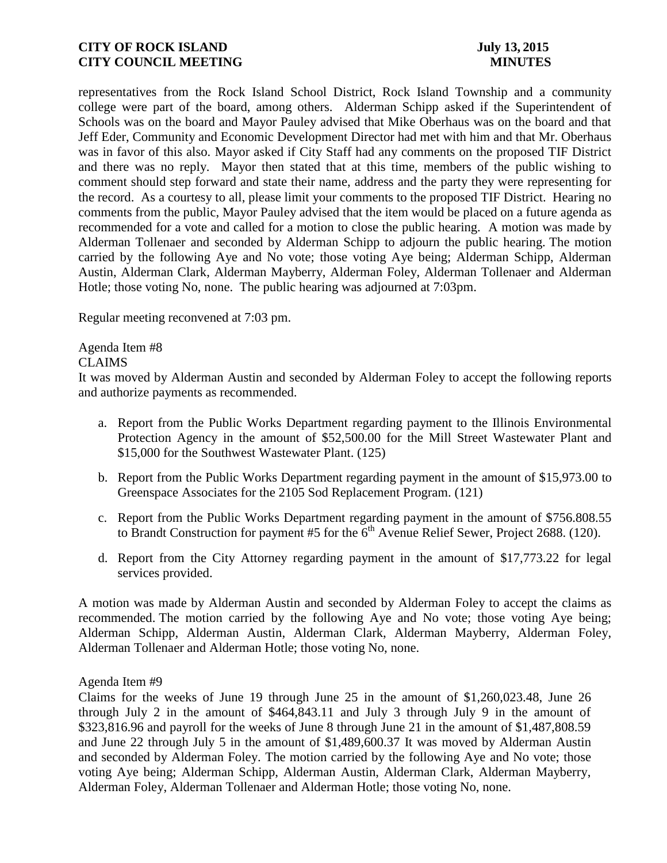representatives from the Rock Island School District, Rock Island Township and a community college were part of the board, among others. Alderman Schipp asked if the Superintendent of Schools was on the board and Mayor Pauley advised that Mike Oberhaus was on the board and that Jeff Eder, Community and Economic Development Director had met with him and that Mr. Oberhaus was in favor of this also. Mayor asked if City Staff had any comments on the proposed TIF District and there was no reply. Mayor then stated that at this time, members of the public wishing to comment should step forward and state their name, address and the party they were representing for the record. As a courtesy to all, please limit your comments to the proposed TIF District. Hearing no comments from the public, Mayor Pauley advised that the item would be placed on a future agenda as recommended for a vote and called for a motion to close the public hearing. A motion was made by Alderman Tollenaer and seconded by Alderman Schipp to adjourn the public hearing. The motion carried by the following Aye and No vote; those voting Aye being; Alderman Schipp, Alderman Austin, Alderman Clark, Alderman Mayberry, Alderman Foley, Alderman Tollenaer and Alderman Hotle; those voting No, none. The public hearing was adjourned at 7:03pm.

Regular meeting reconvened at 7:03 pm.

# Agenda Item #8

CLAIMS

It was moved by Alderman Austin and seconded by Alderman Foley to accept the following reports and authorize payments as recommended.

- a. Report from the Public Works [Department regarding payment to the Illinois Environmental](http://www.rigov.org/DocumentCenter/View/7543)  [Protection Agency in the amount of \\$52,500.00](http://www.rigov.org/DocumentCenter/View/7543) for the Mill Street Wastewater Plant and [\\$15,000 for the Southwest Wastewater Plant.](http://www.rigov.org/DocumentCenter/View/7543) (125)
- b. Report from the Public Works [Department regarding payment in the amount of \\$15,973.00](http://www.rigov.org/DocumentCenter/View/7551) to [Greenspace Associates for the 2105 Sod Replacement Program. \(121\)](http://www.rigov.org/DocumentCenter/View/7551)
- c. [Report from the Public Works Department regarding payment in the amount of \\$756.808.55](http://www.rigov.org/DocumentCenter/View/7541)  to Brandt Construction for payment #5 for the  $6<sup>th</sup>$  Avenue Relief Sewer, Project 2688. (120).
- d. Report from the City Attorney regarding payment in the amount of \$17,773.22 for legal services provided.

A motion was made by Alderman Austin and seconded by Alderman Foley to accept the claims as recommended. The motion carried by the following Aye and No vote; those voting Aye being; Alderman Schipp, Alderman Austin, Alderman Clark, Alderman Mayberry, Alderman Foley, Alderman Tollenaer and Alderman Hotle; those voting No, none.

## Agenda Item #9

[Claims for the weeks of June 19 through June 25 in the amount of \\$1](http://www.rigov.org/DocumentCenter/View/7528),260,023.48, June 26 through July 2 in the amount of \$464,843.11 and July 3 through July 9 in the amount of \$323,816.96 and payroll for the weeks of June 8 through June 21 in the amount of \$1,487,808.59 and June 22 through July 5 in the amount of \$1,489,600.37 It was moved by Alderman Austin and seconded by Alderman Foley. The motion carried by the following Aye and No vote; those voting Aye being; Alderman Schipp, Alderman Austin, Alderman Clark, Alderman Mayberry, Alderman Foley, Alderman Tollenaer and Alderman Hotle; those voting No, none.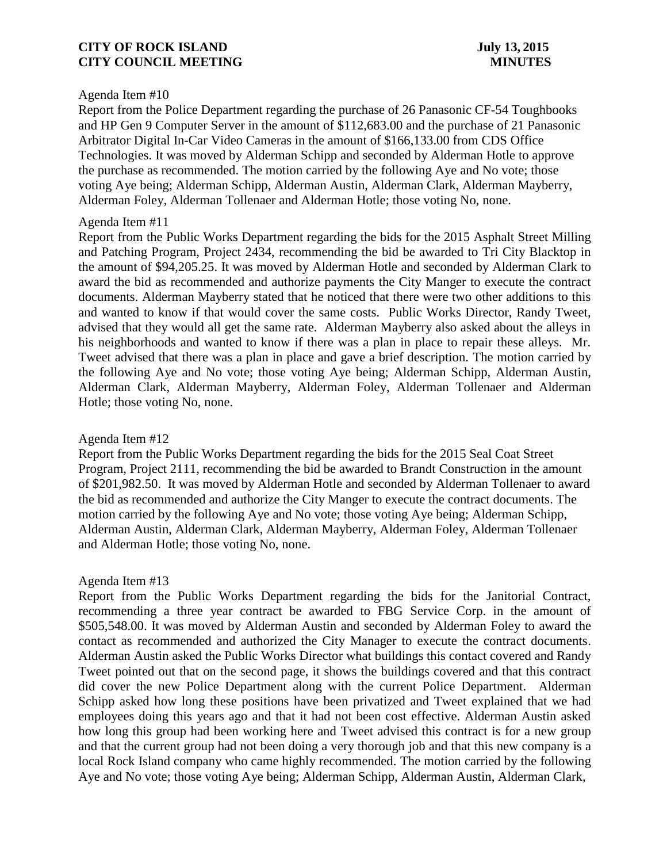### Agenda Item #10

Report from the Police Department regarding the purchase of 26 Panasonic CF-54 Toughbooks and HP Gen 9 Computer Server in the amount of \$112,683.00 and the purchase of 21 Panasonic Arbitrator Digital In-Car Video Cameras in the amount of \$166,133.00 from CDS Office Technologies. It was moved by Alderman Schipp and seconded by Alderman Hotle to approve the purchase as recommended. The motion carried by the following Aye and No vote; those voting Aye being; Alderman Schipp, Alderman Austin, Alderman Clark, Alderman Mayberry, Alderman Foley, Alderman Tollenaer and Alderman Hotle; those voting No, none.

#### Agenda Item #11

[Report](http://www.rigov.org/DocumentCenter/View/7530) from the Public Works Department regarding the bids for the 2015 Asphalt Street Milling and Patching Program, Project 2434, recommending the bid be awarded to Tri City Blacktop in the amount of \$94,205.25. It was moved by Alderman Hotle and seconded by Alderman Clark to award the bid as recommended and authorize payments the City Manger to execute the contract documents. Alderman Mayberry stated that he noticed that there were two other additions to this and wanted to know if that would cover the same costs. Public Works Director, Randy Tweet, advised that they would all get the same rate. Alderman Mayberry also asked about the alleys in his neighborhoods and wanted to know if there was a plan in place to repair these alleys. Mr. Tweet advised that there was a plan in place and gave a brief description. The motion carried by the following Aye and No vote; those voting Aye being; Alderman Schipp, Alderman Austin, Alderman Clark, Alderman Mayberry, Alderman Foley, Alderman Tollenaer and Alderman Hotle; those voting No, none.

### Agenda Item #12

Report from the Public Works Department regarding the bids for the 2015 Seal Coat Street Program, Project 2111, recommending the bid be awarded to Brandt Construction in the amount of \$201,982.50. It was moved by Alderman Hotle and seconded by Alderman Tollenaer to award the bid as recommended and authorize the City Manger to execute the contract documents. The motion carried by the following Aye and No vote; those voting Aye being; Alderman Schipp, Alderman Austin, Alderman Clark, Alderman Mayberry, Alderman Foley, Alderman Tollenaer and Alderman Hotle; those voting No, none.

### Agenda Item #13

Report from the Public Works Department regarding the bids for the Janitorial Contract, recommending a three year contract be awarded to FBG Service Corp. in the amount of \$505,548.00. It was moved by Alderman Austin and seconded by Alderman Foley to award the contact as recommended and authorized the City Manager to execute the contract documents. Alderman Austin asked the Public Works Director what buildings this contact covered and Randy Tweet pointed out that on the second page, it shows the buildings covered and that this contract did cover the new Police Department along with the current Police Department. Alderman Schipp asked how long these positions have been privatized and Tweet explained that we had employees doing this years ago and that it had not been cost effective. Alderman Austin asked how long this group had been working here and Tweet advised this contract is for a new group and that the current group had not been doing a very thorough job and that this new company is a local Rock Island company who came highly recommended. The motion carried by the following Aye and No vote; those voting Aye being; Alderman Schipp, Alderman Austin, Alderman Clark,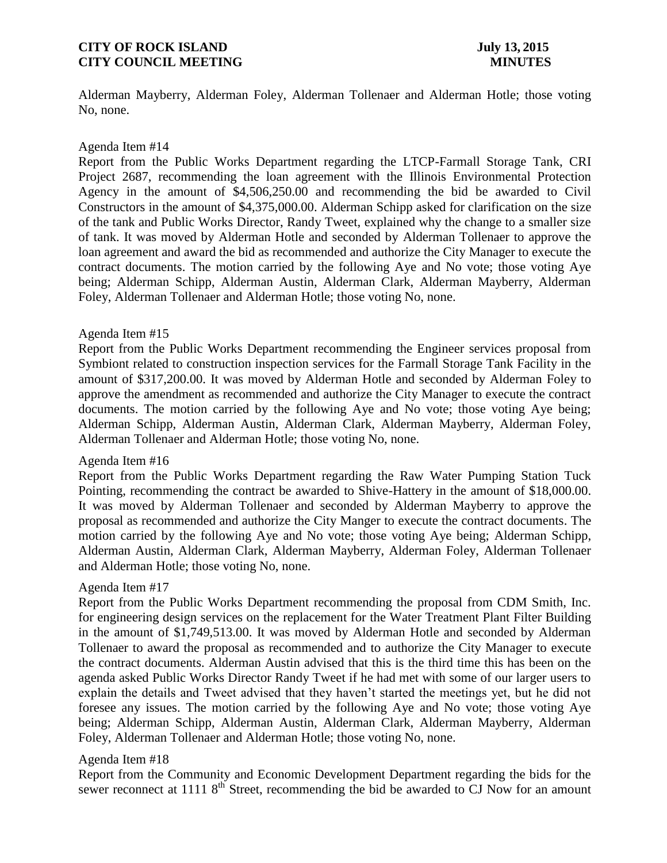Alderman Mayberry, Alderman Foley, Alderman Tollenaer and Alderman Hotle; those voting No, none.

## Agenda Item #14

Report from the Public Works Department regarding the LTCP-Farmall Storage Tank, CRI Project 2687, recommending the loan agreement with the Illinois Environmental Protection Agency in the amount of \$4,506,250.00 and recommending the bid be awarded to Civil Constructors in the amount of \$4,375,000.00. Alderman Schipp asked for clarification on the size of the tank and Public Works Director, Randy Tweet, explained why the change to a smaller size of tank. It was moved by Alderman Hotle and seconded by Alderman Tollenaer to approve the loan agreement and award the bid as recommended and authorize the City Manager to execute the contract documents. The motion carried by the following Aye and No vote; those voting Aye being; Alderman Schipp, Alderman Austin, Alderman Clark, Alderman Mayberry, Alderman Foley, Alderman Tollenaer and Alderman Hotle; those voting No, none.

### Agenda Item #15

[Report](http://www.rigov.org/DocumentCenter/View/7548) from the Public Works Department recommending the Engineer services proposal from Symbiont related to construction inspection services for the Farmall Storage Tank Facility in the amount of \$317,200.00. It was moved by Alderman Hotle and seconded by Alderman Foley to approve the amendment as recommended and authorize the City Manager to execute the contract documents. The motion carried by the following Aye and No vote; those voting Aye being; Alderman Schipp, Alderman Austin, Alderman Clark, Alderman Mayberry, Alderman Foley, Alderman Tollenaer and Alderman Hotle; those voting No, none.

## Agenda Item #16

[Report](http://www.rigov.org/DocumentCenter/View/7547) from the Public Works Department regarding the Raw Water Pumping Station Tuck Pointing, recommending the contract be awarded to Shive-Hattery in the amount of \$18,000.00. It was moved by Alderman Tollenaer and seconded by Alderman Mayberry to approve the proposal as recommended and authorize the City Manger to execute the contract documents. The motion carried by the following Aye and No vote; those voting Aye being; Alderman Schipp, Alderman Austin, Alderman Clark, Alderman Mayberry, Alderman Foley, Alderman Tollenaer and Alderman Hotle; those voting No, none.

## Agenda Item #17

Report from the Public Works Department recommending the proposal from CDM Smith, Inc. for engineering design services on the replacement for the Water Treatment Plant Filter Building in the amount of \$1,749,513.00. It was moved by Alderman Hotle and seconded by Alderman Tollenaer to award the proposal as recommended and to authorize the City Manager to execute the contract documents. Alderman Austin advised that this is the third time this has been on the agenda asked Public Works Director Randy Tweet if he had met with some of our larger users to explain the details and Tweet advised that they haven't started the meetings yet, but he did not foresee any issues. The motion carried by the following Aye and No vote; those voting Aye being; Alderman Schipp, Alderman Austin, Alderman Clark, Alderman Mayberry, Alderman Foley, Alderman Tollenaer and Alderman Hotle; those voting No, none.

## Agenda Item #18

Report from the [Community and Economic Development Department regarding the bids for the](http://www.rigov.org/DocumentCenter/View/7529)  sewer reconnect at 1111  $8<sup>th</sup>$  Street, recommending the bid be awarded to CJ Now for an amount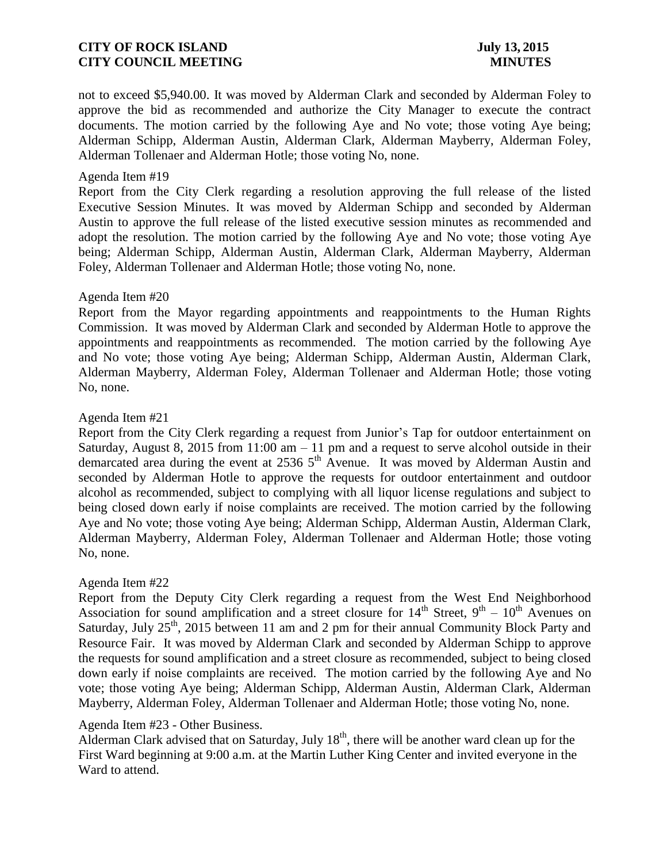not to exceed \$5,940.00. It was moved by Alderman Clark and seconded by Alderman Foley to approve the bid as recommended and authorize the City Manager to execute the contract documents. The motion carried by the following Aye and No vote; those voting Aye being; Alderman Schipp, Alderman Austin, Alderman Clark, Alderman Mayberry, Alderman Foley, Alderman Tollenaer and Alderman Hotle; those voting No, none.

### Agenda Item #19

[Report](http://www.rigov.org/DocumentCenter/View/7532) from the City Clerk regarding a resolution approving the full release of the listed Executive Session Minutes. It was moved by Alderman Schipp and seconded by Alderman Austin to approve the full release of the listed executive session minutes as recommended and adopt the resolution. The motion carried by the following Aye and No vote; those voting Aye being; Alderman Schipp, Alderman Austin, Alderman Clark, Alderman Mayberry, Alderman Foley, Alderman Tollenaer and Alderman Hotle; those voting No, none.

## Agenda Item #20

Report from the Mayor regarding appointments and reappointments to the Human Rights Commission. It was moved by Alderman Clark and seconded by Alderman Hotle to approve the appointments and reappointments as recommended. The motion carried by the following Aye and No vote; those voting Aye being; Alderman Schipp, Alderman Austin, Alderman Clark, Alderman Mayberry, Alderman Foley, Alderman Tollenaer and Alderman Hotle; those voting No, none.

## Agenda Item #21

Report from the City Clerk regarding a request from Junior's Tap for outdoor entertainment on Saturday, August 8, 2015 from  $11:00$  am  $-11$  pm and a request to serve alcohol outside in their demarcated area during the event at 2536 5<sup>th</sup> Avenue. It was moved by Alderman Austin and seconded by Alderman Hotle to approve the requests for outdoor entertainment and outdoor alcohol as recommended, subject to complying with all liquor license regulations and subject to being closed down early if noise complaints are received. The motion carried by the following Aye and No vote; those voting Aye being; Alderman Schipp, Alderman Austin, Alderman Clark, Alderman Mayberry, Alderman Foley, Alderman Tollenaer and Alderman Hotle; those voting No, none.

### Agenda Item #22

Report from the Deputy City Clerk regarding a request from the West End Neighborhood Association for sound amplification and a street closure for  $14<sup>th</sup>$  Street,  $9<sup>th</sup> - 10<sup>th</sup>$  Avenues on Saturday, July 25<sup>th</sup>, 2015 between 11 am and 2 pm for their annual Community Block Party and Resource Fair. It was moved by Alderman Clark and seconded by Alderman Schipp to approve the requests for sound amplification and a street closure as recommended, subject to being closed down early if noise complaints are received. The motion carried by the following Aye and No vote; those voting Aye being; Alderman Schipp, Alderman Austin, Alderman Clark, Alderman Mayberry, Alderman Foley, Alderman Tollenaer and Alderman Hotle; those voting No, none.

## Agenda Item #23 - Other Business.

Alderman Clark advised that on Saturday, July  $18<sup>th</sup>$ , there will be another ward clean up for the First Ward beginning at 9:00 a.m. at the Martin Luther King Center and invited everyone in the Ward to attend.